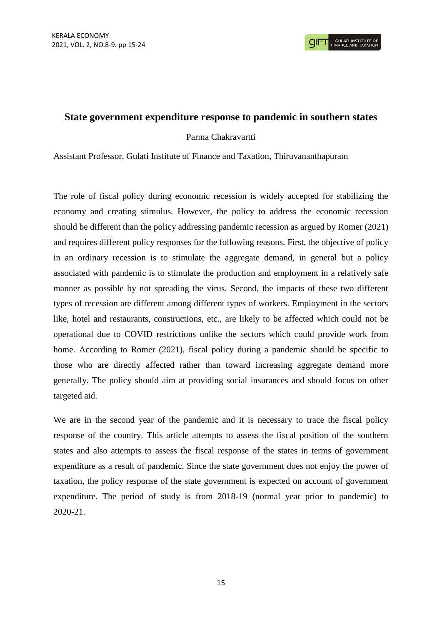## **State government expenditure response to pandemic in southern states**

## Parma Chakravartti

Assistant Professor, Gulati Institute of Finance and Taxation, Thiruvananthapuram

The role of fiscal policy during economic recession is widely accepted for stabilizing the economy and creating stimulus. However, the policy to address the economic recession should be different than the policy addressing pandemic recession as argued by Romer (2021) and requires different policy responses for the following reasons. First, the objective of policy in an ordinary recession is to stimulate the aggregate demand, in general but a policy associated with pandemic is to stimulate the production and employment in a relatively safe manner as possible by not spreading the virus. Second, the impacts of these two different types of recession are different among different types of workers. Employment in the sectors like, hotel and restaurants, constructions, etc., are likely to be affected which could not be operational due to COVID restrictions unlike the sectors which could provide work from home. According to Romer (2021), fiscal policy during a pandemic should be specific to those who are directly affected rather than toward increasing aggregate demand more generally. The policy should aim at providing social insurances and should focus on other targeted aid.

We are in the second year of the pandemic and it is necessary to trace the fiscal policy response of the country. This article attempts to assess the fiscal position of the southern states and also attempts to assess the fiscal response of the states in terms of government expenditure as a result of pandemic. Since the state government does not enjoy the power of taxation, the policy response of the state government is expected on account of government expenditure. The period of study is from 2018-19 (normal year prior to pandemic) to 2020-21.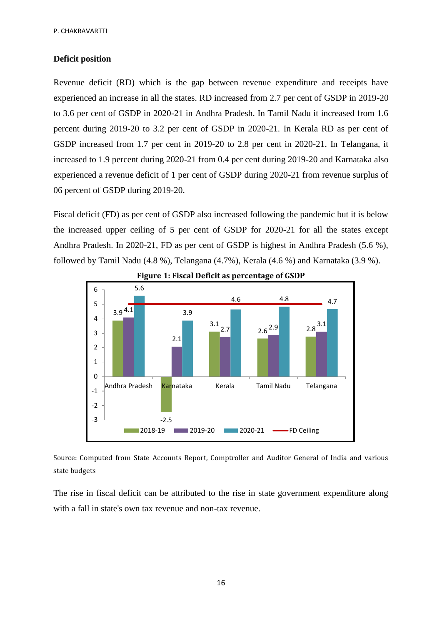## **Deficit position**

Revenue deficit (RD) which is the gap between revenue expenditure and receipts have experienced an increase in all the states. RD increased from 2.7 per cent of GSDP in 2019-20 to 3.6 per cent of GSDP in 2020-21 in Andhra Pradesh. In Tamil Nadu it increased from 1.6 percent during 2019-20 to 3.2 per cent of GSDP in 2020-21. In Kerala RD as per cent of GSDP increased from 1.7 per cent in 2019-20 to 2.8 per cent in 2020-21. In Telangana, it increased to 1.9 percent during 2020-21 from 0.4 per cent during 2019-20 and Karnataka also experienced a revenue deficit of 1 per cent of GSDP during 2020-21 from revenue surplus of 06 percent of GSDP during 2019-20.

Fiscal deficit (FD) as per cent of GSDP also increased following the pandemic but it is below the increased upper ceiling of 5 per cent of GSDP for 2020-21 for all the states except Andhra Pradesh. In 2020-21, FD as per cent of GSDP is highest in Andhra Pradesh (5.6 %), followed by Tamil Nadu (4.8 %), Telangana (4.7%), Kerala (4.6 %) and Karnataka (3.9 %).



**Figure 1: Fiscal Deficit as percentage of GSDP**

Source: Computed from State Accounts Report, Comptroller and Auditor General of India and various state budgets

The rise in fiscal deficit can be attributed to the rise in state government expenditure along with a fall in state's own tax revenue and non-tax revenue.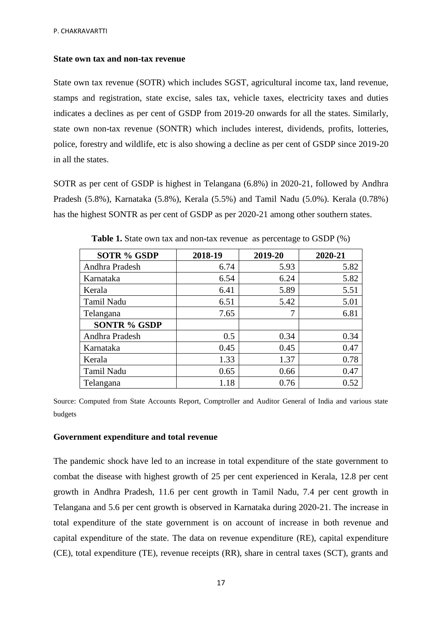#### **State own tax and non-tax revenue**

State own tax revenue (SOTR) which includes SGST, agricultural income tax, land revenue, stamps and registration, state excise, sales tax, vehicle taxes, electricity taxes and duties indicates a declines as per cent of GSDP from 2019-20 onwards for all the states. Similarly, state own non-tax revenue (SONTR) which includes interest, dividends, profits, lotteries, police, forestry and wildlife, etc is also showing a decline as per cent of GSDP since 2019-20 in all the states.

SOTR as per cent of GSDP is highest in Telangana (6.8%) in 2020-21, followed by Andhra Pradesh (5.8%), Karnataka (5.8%), Kerala (5.5%) and Tamil Nadu (5.0%). Kerala (0.78%) has the highest SONTR as per cent of GSDP as per 2020-21 among other southern states.

| <b>SOTR % GSDP</b>  | 2018-19 | 2019-20 | 2020-21 |  |  |
|---------------------|---------|---------|---------|--|--|
| Andhra Pradesh      | 6.74    | 5.93    | 5.82    |  |  |
| Karnataka           | 6.54    | 6.24    | 5.82    |  |  |
| Kerala              | 6.41    | 5.89    | 5.51    |  |  |
| Tamil Nadu          | 6.51    | 5.42    | 5.01    |  |  |
| Telangana           | 7.65    | 7       | 6.81    |  |  |
| <b>SONTR % GSDP</b> |         |         |         |  |  |
| Andhra Pradesh      | 0.5     | 0.34    | 0.34    |  |  |
| Karnataka           | 0.45    | 0.45    | 0.47    |  |  |
| Kerala              | 1.33    | 1.37    | 0.78    |  |  |
| Tamil Nadu          | 0.65    | 0.66    | 0.47    |  |  |
| Telangana           | 1.18    | 0.76    | 0.52    |  |  |

**Table 1.** State own tax and non-tax revenue as percentage to GSDP  $(\%)$ 

Source: Computed from State Accounts Report, Comptroller and Auditor General of India and various state budgets

### **Government expenditure and total revenue**

The pandemic shock have led to an increase in total expenditure of the state government to combat the disease with highest growth of 25 per cent experienced in Kerala, 12.8 per cent growth in Andhra Pradesh, 11.6 per cent growth in Tamil Nadu, 7.4 per cent growth in Telangana and 5.6 per cent growth is observed in Karnataka during 2020-21. The increase in total expenditure of the state government is on account of increase in both revenue and capital expenditure of the state. The data on revenue expenditure (RE), capital expenditure (CE), total expenditure (TE), revenue receipts (RR), share in central taxes (SCT), grants and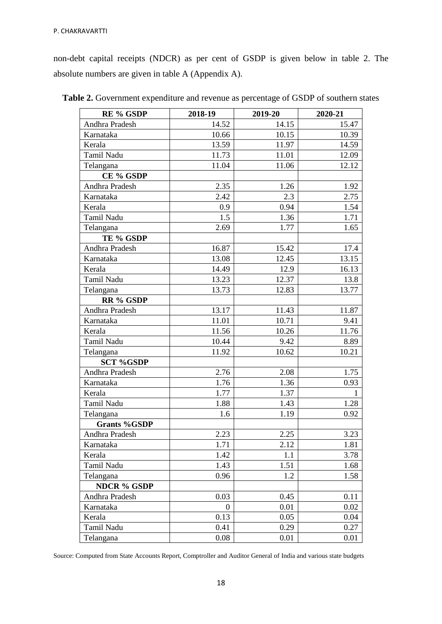non-debt capital receipts (NDCR) as per cent of GSDP is given below in table 2. The absolute numbers are given in table A (Appendix A).

| <b>RE % GSDP</b>    | 2018-19        | 2019-20 | 2020-21 |  |  |
|---------------------|----------------|---------|---------|--|--|
| Andhra Pradesh      | 14.52          | 14.15   | 15.47   |  |  |
| Karnataka           | 10.66          | 10.15   | 10.39   |  |  |
| Kerala              | 13.59          | 11.97   | 14.59   |  |  |
| Tamil Nadu          | 11.73          | 11.01   | 12.09   |  |  |
| Telangana           | 11.04          | 11.06   | 12.12   |  |  |
| CE % GSDP           |                |         |         |  |  |
| Andhra Pradesh      | 2.35           | 1.26    | 1.92    |  |  |
| Karnataka           | 2.42           | 2.3     | 2.75    |  |  |
| Kerala              | 0.9            | 0.94    | 1.54    |  |  |
| Tamil Nadu          | 1.5            | 1.36    | 1.71    |  |  |
| Telangana           | 2.69           | 1.77    | 1.65    |  |  |
| TE % GSDP           |                |         |         |  |  |
| Andhra Pradesh      | 16.87          | 15.42   | 17.4    |  |  |
| Karnataka           | 13.08          | 12.45   | 13.15   |  |  |
| Kerala              | 14.49          | 12.9    | 16.13   |  |  |
| Tamil Nadu          | 13.23          | 12.37   | 13.8    |  |  |
| Telangana           | 13.73          | 12.83   | 13.77   |  |  |
| RR % GSDP           |                |         |         |  |  |
| Andhra Pradesh      | 13.17          | 11.43   | 11.87   |  |  |
| Karnataka           | 11.01          | 10.71   | 9.41    |  |  |
| Kerala              | 11.56          | 10.26   | 11.76   |  |  |
| Tamil Nadu          | 10.44          | 9.42    | 8.89    |  |  |
| Telangana           | 11.92          | 10.62   | 10.21   |  |  |
| <b>SCT %GSDP</b>    |                |         |         |  |  |
| Andhra Pradesh      | 2.76           | 2.08    | 1.75    |  |  |
| Karnataka           | 1.76           | 1.36    | 0.93    |  |  |
| Kerala              | 1.77           | 1.37    | 1       |  |  |
| Tamil Nadu          | 1.88           | 1.43    | 1.28    |  |  |
| Telangana           | 1.6            | 1.19    | 0.92    |  |  |
| <b>Grants %GSDP</b> |                |         |         |  |  |
| Andhra Pradesh      | 2.23           | 2.25    | 3.23    |  |  |
| Karnataka           | 1.71           | 2.12    | 1.81    |  |  |
| Kerala              | 1.42           | 1.1     | 3.78    |  |  |
| Tamil Nadu          | 1.43           | 1.51    | 1.68    |  |  |
| Telangana           | 0.96           | 1.2     | 1.58    |  |  |
| <b>NDCR % GSDP</b>  |                |         |         |  |  |
| Andhra Pradesh      | 0.03           | 0.45    | 0.11    |  |  |
| Karnataka           | $\overline{0}$ | 0.01    | 0.02    |  |  |
| Kerala              | 0.13           | 0.05    | 0.04    |  |  |
| Tamil Nadu          | 0.41           | 0.29    | 0.27    |  |  |
| Telangana           | 0.08           | 0.01    | 0.01    |  |  |

**Table 2.** Government expenditure and revenue as percentage of GSDP of southern states

Source: Computed from State Accounts Report, Comptroller and Auditor General of India and various state budgets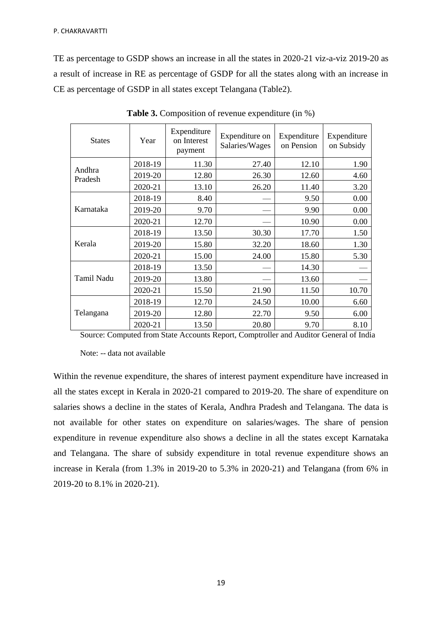TE as percentage to GSDP shows an increase in all the states in 2020-21 viz-a-viz 2019-20 as a result of increase in RE as percentage of GSDP for all the states along with an increase in CE as percentage of GSDP in all states except Telangana (Table2).

| <b>States</b>     | Year    | Expenditure<br>on Interest<br>payment | Expenditure on<br>Salaries/Wages | Expenditure<br>on Pension | Expenditure<br>on Subsidy |
|-------------------|---------|---------------------------------------|----------------------------------|---------------------------|---------------------------|
|                   | 2018-19 | 11.30                                 | 27.40                            | 12.10                     | 1.90                      |
| Andhra<br>Pradesh | 2019-20 | 12.80                                 | 26.30                            | 12.60                     | 4.60                      |
|                   | 2020-21 | 13.10                                 | 26.20                            | 11.40                     | 3.20                      |
|                   | 2018-19 | 8.40                                  |                                  | 9.50                      | 0.00                      |
| Karnataka         | 2019-20 | 9.70                                  |                                  | 9.90                      | 0.00                      |
|                   | 2020-21 | 12.70                                 |                                  | 10.90                     | 0.00                      |
|                   | 2018-19 | 13.50                                 | 30.30                            | 17.70                     | 1.50                      |
| Kerala            | 2019-20 | 15.80                                 | 32.20                            | 18.60                     | 1.30                      |
|                   | 2020-21 | 15.00                                 | 24.00                            | 15.80                     | 5.30                      |
|                   | 2018-19 | 13.50                                 |                                  | 14.30                     |                           |
| Tamil Nadu        | 2019-20 | 13.80                                 |                                  | 13.60                     |                           |
|                   | 2020-21 | 15.50                                 | 21.90                            | 11.50                     | 10.70                     |
| Telangana         | 2018-19 | 12.70                                 | 24.50                            | 10.00                     | 6.60                      |
|                   | 2019-20 | 12.80                                 | 22.70                            | 9.50                      | 6.00                      |
|                   | 2020-21 | 13.50                                 | 20.80                            | 9.70                      | 8.10                      |

**Table 3.** Composition of revenue expenditure (in %)

Source: Computed from State Accounts Report, Comptroller and Auditor General of India

Note: -- data not available

Within the revenue expenditure, the shares of interest payment expenditure have increased in all the states except in Kerala in 2020-21 compared to 2019-20. The share of expenditure on salaries shows a decline in the states of Kerala, Andhra Pradesh and Telangana. The data is not available for other states on expenditure on salaries/wages. The share of pension expenditure in revenue expenditure also shows a decline in all the states except Karnataka and Telangana. The share of subsidy expenditure in total revenue expenditure shows an increase in Kerala (from 1.3% in 2019-20 to 5.3% in 2020-21) and Telangana (from 6% in 2019-20 to 8.1% in 2020-21).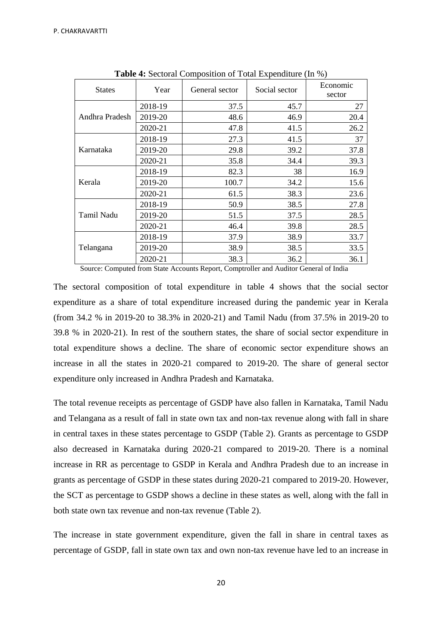| <b>States</b>  | Year    | $\ldots$ second some second or row measure $(m \cdot o)$<br>General sector | Social sector | Economic<br>sector |  |
|----------------|---------|----------------------------------------------------------------------------|---------------|--------------------|--|
|                | 2018-19 | 37.5                                                                       | 45.7          | 27                 |  |
| Andhra Pradesh | 2019-20 | 48.6                                                                       | 46.9          | 20.4               |  |
|                | 2020-21 | 47.8                                                                       | 41.5          | 26.2               |  |
|                | 2018-19 | 27.3                                                                       | 41.5          | 37                 |  |
| Karnataka      | 2019-20 | 29.8                                                                       | 39.2          | 37.8               |  |
|                | 2020-21 | 35.8                                                                       | 34.4          | 39.3               |  |
|                | 2018-19 | 82.3                                                                       | 38            | 16.9               |  |
| Kerala         | 2019-20 | 100.7                                                                      | 34.2          | 15.6               |  |
|                | 2020-21 | 61.5                                                                       | 38.3          | 23.6               |  |
|                | 2018-19 | 50.9                                                                       | 38.5          | 27.8               |  |
| Tamil Nadu     | 2019-20 | 51.5                                                                       | 37.5          | 28.5               |  |
|                | 2020-21 | 46.4                                                                       | 39.8          | 28.5               |  |
|                | 2018-19 | 37.9                                                                       | 38.9          | 33.7               |  |
| Telangana      | 2019-20 | 38.9                                                                       | 38.5          | 33.5               |  |
|                | 2020-21 | 38.3                                                                       | 36.2          | 36.1               |  |

**Table 4:** Sectoral Composition of Total Expenditure (In %)

Source: Computed from State Accounts Report, Comptroller and Auditor General of India

The sectoral composition of total expenditure in table 4 shows that the social sector expenditure as a share of total expenditure increased during the pandemic year in Kerala (from 34.2 % in 2019-20 to 38.3% in 2020-21) and Tamil Nadu (from 37.5% in 2019-20 to 39.8 % in 2020-21). In rest of the southern states, the share of social sector expenditure in total expenditure shows a decline. The share of economic sector expenditure shows an increase in all the states in 2020-21 compared to 2019-20. The share of general sector expenditure only increased in Andhra Pradesh and Karnataka.

The total revenue receipts as percentage of GSDP have also fallen in Karnataka, Tamil Nadu and Telangana as a result of fall in state own tax and non-tax revenue along with fall in share in central taxes in these states percentage to GSDP (Table 2). Grants as percentage to GSDP also decreased in Karnataka during 2020-21 compared to 2019-20. There is a nominal increase in RR as percentage to GSDP in Kerala and Andhra Pradesh due to an increase in grants as percentage of GSDP in these states during 2020-21 compared to 2019-20. However, the SCT as percentage to GSDP shows a decline in these states as well, along with the fall in both state own tax revenue and non-tax revenue (Table 2).

The increase in state government expenditure, given the fall in share in central taxes as percentage of GSDP, fall in state own tax and own non-tax revenue have led to an increase in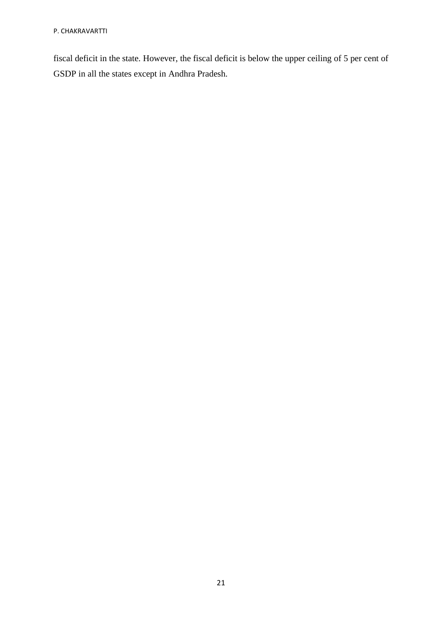fiscal deficit in the state. However, the fiscal deficit is below the upper ceiling of 5 per cent of GSDP in all the states except in Andhra Pradesh.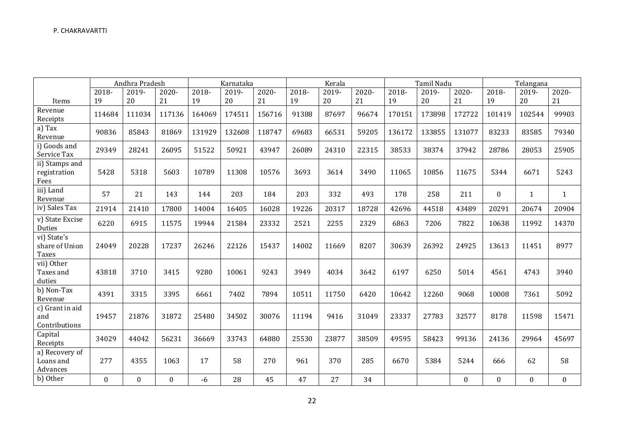|                                         | Andhra Pradesh |                  |          | Karnataka |        |        | Kerala |       |       | Tamil Nadu |        |          | Telangana        |                  |              |
|-----------------------------------------|----------------|------------------|----------|-----------|--------|--------|--------|-------|-------|------------|--------|----------|------------------|------------------|--------------|
|                                         | 2018-          | 2019-            | 2020-    | 2018-     | 2019-  | 2020-  | 2018-  | 2019- | 2020- | 2018-      | 2019-  | $2020 -$ | 2018-            | 2019-            | 2020-        |
| Items                                   | 19             | 20               | 21       | 19        | 20     | 21     | 19     | 20    | 21    | 19         | 20     | 21       | 19               | 20               | 21           |
| Revenue<br>Receipts                     | 114684         | 111034           | 117136   | 164069    | 174511 | 156716 | 91388  | 87697 | 96674 | 170151     | 173898 | 172722   | 101419           | 102544           | 99903        |
| a) Tax<br>Revenue                       | 90836          | 85843            | 81869    | 131929    | 132608 | 118747 | 69683  | 66531 | 59205 | 136172     | 133855 | 131077   | 83233            | 83585            | 79340        |
| i) Goods and<br>Service Tax             | 29349          | 28241            | 26095    | 51522     | 50921  | 43947  | 26089  | 24310 | 22315 | 38533      | 38374  | 37942    | 28786            | 28053            | 25905        |
| ii) Stamps and<br>registration<br>Fees  | 5428           | 5318             | 5603     | 10789     | 11308  | 10576  | 3693   | 3614  | 3490  | 11065      | 10856  | 11675    | 5344             | 6671             | 5243         |
| iii) Land<br>Revenue                    | 57             | 21               | 143      | 144       | 203    | 184    | 203    | 332   | 493   | 178        | 258    | 211      | $\Omega$         | 1                | $\mathbf{1}$ |
| iv) Sales Tax                           | 21914          | 21410            | 17800    | 14004     | 16405  | 16028  | 19226  | 20317 | 18728 | 42696      | 44518  | 43489    | 20291            | 20674            | 20904        |
| v) State Excise<br><b>Duties</b>        | 6220           | 6915             | 11575    | 19944     | 21584  | 23332  | 2521   | 2255  | 2329  | 6863       | 7206   | 7822     | 10638            | 11992            | 14370        |
| vi) State's<br>share of Union<br>Taxes  | 24049          | 20228            | 17237    | 26246     | 22126  | 15437  | 14002  | 11669 | 8207  | 30639      | 26392  | 24925    | 13613            | 11451            | 8977         |
| vii) Other<br>Taxes and<br>duties       | 43818          | 3710             | 3415     | 9280      | 10061  | 9243   | 3949   | 4034  | 3642  | 6197       | 6250   | 5014     | 4561             | 4743             | 3940         |
| b) Non-Tax<br>Revenue                   | 4391           | 3315             | 3395     | 6661      | 7402   | 7894   | 10511  | 11750 | 6420  | 10642      | 12260  | 9068     | 10008            | 7361             | 5092         |
| c) Grant in aid<br>and<br>Contributions | 19457          | 21876            | 31872    | 25480     | 34502  | 30076  | 11194  | 9416  | 31049 | 23337      | 27783  | 32577    | 8178             | 11598            | 15471        |
| Capital<br>Receipts                     | 34029          | 44042            | 56231    | 36669     | 33743  | 64880  | 25530  | 23877 | 38509 | 49595      | 58423  | 99136    | 24136            | 29964            | 45697        |
| a) Recovery of<br>Loans and<br>Advances | 277            | 4355             | 1063     | 17        | 58     | 270    | 961    | 370   | 285   | 6670       | 5384   | 5244     | 666              | 62               | 58           |
| b) Other                                | $\Omega$       | $\boldsymbol{0}$ | $\theta$ | $-6$      | 28     | 45     | 47     | 27    | 34    |            |        | $\Omega$ | $\boldsymbol{0}$ | $\boldsymbol{0}$ | $\mathbf{0}$ |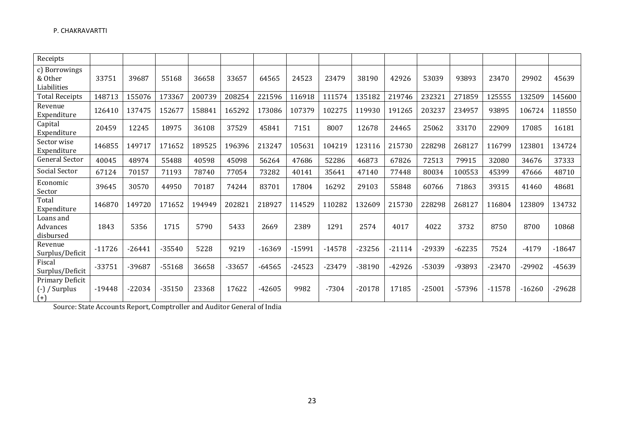| Receipts                                       |          |          |          |        |        |          |          |          |          |          |          |          |          |          |          |
|------------------------------------------------|----------|----------|----------|--------|--------|----------|----------|----------|----------|----------|----------|----------|----------|----------|----------|
| c) Borrowings<br>& Other<br>Liabilities        | 33751    | 39687    | 55168    | 36658  | 33657  | 64565    | 24523    | 23479    | 38190    | 42926    | 53039    | 93893    | 23470    | 29902    | 45639    |
| <b>Total Receipts</b>                          | 148713   | 155076   | 173367   | 200739 | 208254 | 221596   | 116918   | 111574   | 135182   | 219746   | 232321   | 271859   | 125555   | 132509   | 145600   |
| Revenue<br>Expenditure                         | 126410   | 137475   | 152677   | 158841 | 165292 | 173086   | 107379   | 102275   | 119930   | 191265   | 203237   | 234957   | 93895    | 106724   | 118550   |
| Capital<br>Expenditure                         | 20459    | 12245    | 18975    | 36108  | 37529  | 45841    | 7151     | 8007     | 12678    | 24465    | 25062    | 33170    | 22909    | 17085    | 16181    |
| Sector wise<br>Expenditure                     | 146855   | 149717   | 171652   | 189525 | 196396 | 213247   | 105631   | 104219   | 123116   | 215730   | 228298   | 268127   | 116799   | 123801   | 134724   |
| <b>General Sector</b>                          | 40045    | 48974    | 55488    | 40598  | 45098  | 56264    | 47686    | 52286    | 46873    | 67826    | 72513    | 79915    | 32080    | 34676    | 37333    |
| Social Sector                                  | 67124    | 70157    | 71193    | 78740  | 77054  | 73282    | 40141    | 35641    | 47140    | 77448    | 80034    | 100553   | 45399    | 47666    | 48710    |
| Economic<br>Sector                             | 39645    | 30570    | 44950    | 70187  | 74244  | 83701    | 17804    | 16292    | 29103    | 55848    | 60766    | 71863    | 39315    | 41460    | 48681    |
| Total<br>Expenditure                           | 146870   | 149720   | 171652   | 194949 | 202821 | 218927   | 114529   | 110282   | 132609   | 215730   | 228298   | 268127   | 116804   | 123809   | 134732   |
| Loans and<br>Advances<br>disbursed             | 1843     | 5356     | 1715     | 5790   | 5433   | 2669     | 2389     | 1291     | 2574     | 4017     | 4022     | 3732     | 8750     | 8700     | 10868    |
| Revenue<br>Surplus/Deficit                     | $-11726$ | $-26441$ | $-35540$ | 5228   | 9219   | $-16369$ | $-15991$ | $-14578$ | $-23256$ | $-21114$ | -29339   | $-62235$ | 7524     | $-4179$  | $-18647$ |
| Fiscal<br>Surplus/Deficit                      | $-33751$ | -39687   | $-55168$ | 36658  | -33657 | $-64565$ | $-24523$ | -23479   | $-38190$ | $-42926$ | -53039   | -93893   | $-23470$ | -29902   | -45639   |
| Primary Deficit<br>$(-)$ / Surplus<br>$^{(+)}$ | $-19448$ | $-22034$ | $-35150$ | 23368  | 17622  | $-42605$ | 9982     | $-7304$  | $-20178$ | 17185    | $-25001$ | -57396   | $-11578$ | $-16260$ | $-29628$ |

Source: State Accounts Report, Comptroller and Auditor General of India